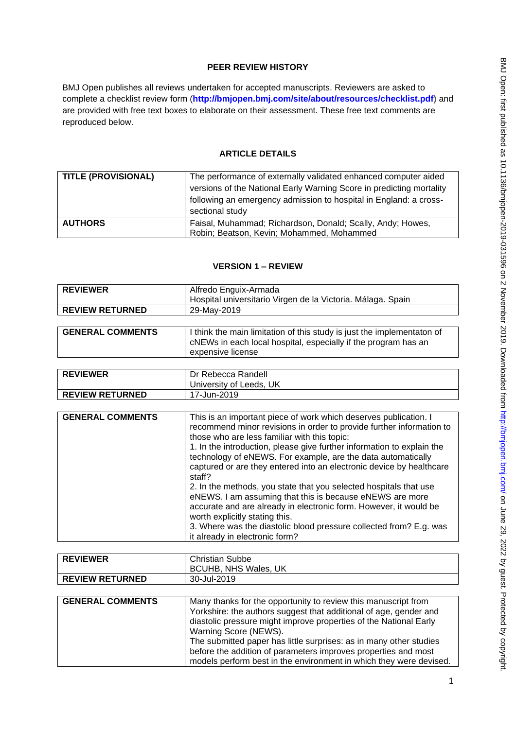## **PEER REVIEW HISTORY**

BMJ Open publishes all reviews undertaken for accepted manuscripts. Reviewers are asked to complete a checklist review form (**[http://bmjopen.bmj.com/site/about/resources/checklist.pdf\)](http://bmjopen.bmj.com/site/about/resources/checklist.pdf)** and are provided with free text boxes to elaborate on their assessment. These free text comments are reproduced below.

# **ARTICLE DETAILS**

| <b>TITLE (PROVISIONAL)</b> | The performance of externally validated enhanced computer aided      |
|----------------------------|----------------------------------------------------------------------|
|                            | versions of the National Early Warning Score in predicting mortality |
|                            | following an emergency admission to hospital in England: a cross-    |
|                            | sectional study                                                      |
| <b>AUTHORS</b>             | Faisal, Muhammad; Richardson, Donald; Scally, Andy; Howes,           |
|                            | Robin; Beatson, Kevin; Mohammed, Mohammed                            |

# **VERSION 1 – REVIEW**

| <b>REVIEWER</b>        | Alfredo Enguix-Armada<br>Hospital universitario Virgen de la Victoria. Málaga. Spain |
|------------------------|--------------------------------------------------------------------------------------|
| <b>REVIEW RETURNED</b> | 29-Mav-2019                                                                          |

| expensive license | <b>GENERAL COMMENTS</b> | I think the main limitation of this study is just the implementaton of<br>CNEWs in each local hospital, especially if the program has an |
|-------------------|-------------------------|------------------------------------------------------------------------------------------------------------------------------------------|
|-------------------|-------------------------|------------------------------------------------------------------------------------------------------------------------------------------|

| <b>REVIEWER</b>        | Dr Rebecca Randell      |
|------------------------|-------------------------|
|                        | University of Leeds, UK |
| <b>REVIEW RETURNED</b> | 17-Jun-2019             |

| <b>GENERAL COMMENTS</b> | This is an important piece of work which deserves publication. I<br>recommend minor revisions in order to provide further information to<br>those who are less familiar with this topic: |
|-------------------------|------------------------------------------------------------------------------------------------------------------------------------------------------------------------------------------|
|                         |                                                                                                                                                                                          |
|                         | 1. In the introduction, please give further information to explain the                                                                                                                   |
|                         | technology of eNEWS. For example, are the data automatically                                                                                                                             |
|                         | captured or are they entered into an electronic device by healthcare                                                                                                                     |
|                         | staff?                                                                                                                                                                                   |
|                         | 2. In the methods, you state that you selected hospitals that use                                                                                                                        |
|                         | eNEWS. I am assuming that this is because eNEWS are more                                                                                                                                 |
|                         | accurate and are already in electronic form. However, it would be                                                                                                                        |
|                         | worth explicitly stating this.                                                                                                                                                           |
|                         | 3. Where was the diastolic blood pressure collected from? E.g. was                                                                                                                       |
|                         | it already in electronic form?                                                                                                                                                           |

| <b>REVIEWER</b>         | <b>Christian Subbe</b>                                             |
|-------------------------|--------------------------------------------------------------------|
|                         | <b>BCUHB, NHS Wales, UK</b>                                        |
| <b>REVIEW RETURNED</b>  | 30-Jul-2019                                                        |
|                         |                                                                    |
| <b>GENERAL COMMENTS</b> | Many thanks for the opportunity to review this manuscript from     |
|                         | Yorkshire: the authors suggest that additional of age, gender and  |
|                         | diastolic pressure might improve properties of the National Early  |
|                         | Warning Score (NEWS).                                              |
|                         | The submitted paper has little surprises: as in many other studies |
|                         | before the addition of parameters improves properties and most     |
|                         | models perform best in the environment in which they were devised. |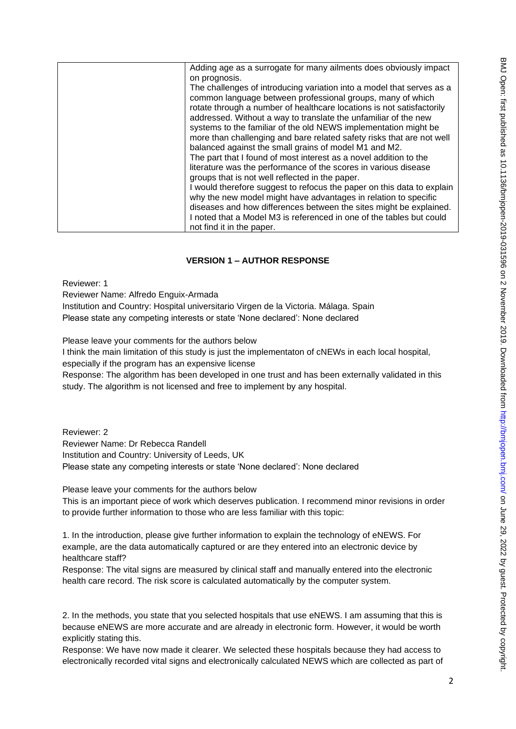| Adding age as a surrogate for many ailments does obviously impact                                                                                                                                                                                                                                                                                                                                                                                                                                                                                                                                                            |
|------------------------------------------------------------------------------------------------------------------------------------------------------------------------------------------------------------------------------------------------------------------------------------------------------------------------------------------------------------------------------------------------------------------------------------------------------------------------------------------------------------------------------------------------------------------------------------------------------------------------------|
| on prognosis.                                                                                                                                                                                                                                                                                                                                                                                                                                                                                                                                                                                                                |
| The challenges of introducing variation into a model that serves as a<br>common language between professional groups, many of which<br>rotate through a number of healthcare locations is not satisfactorily<br>addressed. Without a way to translate the unfamiliar of the new<br>systems to the familiar of the old NEWS implementation might be<br>more than challenging and bare related safety risks that are not well<br>balanced against the small grains of model M1 and M2.<br>The part that I found of most interest as a novel addition to the<br>literature was the performance of the scores in various disease |
| groups that is not well reflected in the paper.                                                                                                                                                                                                                                                                                                                                                                                                                                                                                                                                                                              |
| I would therefore suggest to refocus the paper on this data to explain<br>why the new model might have advantages in relation to specific                                                                                                                                                                                                                                                                                                                                                                                                                                                                                    |
| diseases and how differences between the sites might be explained.                                                                                                                                                                                                                                                                                                                                                                                                                                                                                                                                                           |
| I noted that a Model M3 is referenced in one of the tables but could                                                                                                                                                                                                                                                                                                                                                                                                                                                                                                                                                         |
| not find it in the paper.                                                                                                                                                                                                                                                                                                                                                                                                                                                                                                                                                                                                    |

## **VERSION 1 – AUTHOR RESPONSE**

Reviewer: 1

Reviewer Name: Alfredo Enguix-Armada

Institution and Country: Hospital universitario Virgen de la Victoria. Málaga. Spain Please state any competing interests or state 'None declared': None declared

Please leave your comments for the authors below

I think the main limitation of this study is just the implementaton of cNEWs in each local hospital, especially if the program has an expensive license

Response: The algorithm has been developed in one trust and has been externally validated in this study. The algorithm is not licensed and free to implement by any hospital.

Reviewer: 2 Reviewer Name: Dr Rebecca Randell Institution and Country: University of Leeds, UK Please state any competing interests or state 'None declared': None declared

Please leave your comments for the authors below

This is an important piece of work which deserves publication. I recommend minor revisions in order to provide further information to those who are less familiar with this topic:

1. In the introduction, please give further information to explain the technology of eNEWS. For example, are the data automatically captured or are they entered into an electronic device by healthcare staff?

Response: The vital signs are measured by clinical staff and manually entered into the electronic health care record. The risk score is calculated automatically by the computer system.

2. In the methods, you state that you selected hospitals that use eNEWS. I am assuming that this is because eNEWS are more accurate and are already in electronic form. However, it would be worth explicitly stating this.

Response: We have now made it clearer. We selected these hospitals because they had access to electronically recorded vital signs and electronically calculated NEWS which are collected as part of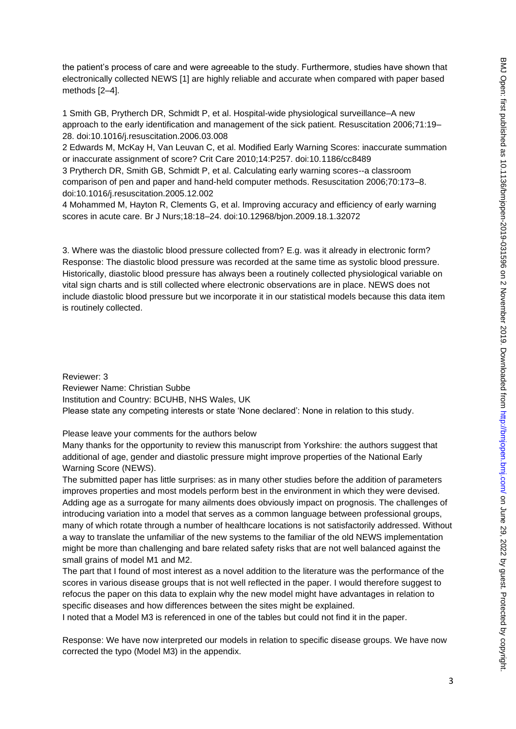the patient's process of care and were agreeable to the study. Furthermore, studies have shown that electronically collected NEWS [1] are highly reliable and accurate when compared with paper based methods [2–4].

1 Smith GB, Prytherch DR, Schmidt P, et al. Hospital-wide physiological surveillance–A new approach to the early identification and management of the sick patient. Resuscitation 2006;71:19– 28. doi:10.1016/j.resuscitation.2006.03.008

2 Edwards M, McKay H, Van Leuvan C, et al. Modified Early Warning Scores: inaccurate summation or inaccurate assignment of score? Crit Care 2010;14:P257. doi:10.1186/cc8489

3 Prytherch DR, Smith GB, Schmidt P, et al. Calculating early warning scores--a classroom comparison of pen and paper and hand-held computer methods. Resuscitation 2006;70:173–8. doi:10.1016/j.resuscitation.2005.12.002

4 Mohammed M, Hayton R, Clements G, et al. Improving accuracy and efficiency of early warning scores in acute care. Br J Nurs;18:18–24. doi:10.12968/bjon.2009.18.1.32072

3. Where was the diastolic blood pressure collected from? E.g. was it already in electronic form? Response: The diastolic blood pressure was recorded at the same time as systolic blood pressure. Historically, diastolic blood pressure has always been a routinely collected physiological variable on vital sign charts and is still collected where electronic observations are in place. NEWS does not include diastolic blood pressure but we incorporate it in our statistical models because this data item is routinely collected.

Reviewer: 3 Reviewer Name: Christian Subbe Institution and Country: BCUHB, NHS Wales, UK Please state any competing interests or state 'None declared': None in relation to this study.

Please leave your comments for the authors below

Many thanks for the opportunity to review this manuscript from Yorkshire: the authors suggest that additional of age, gender and diastolic pressure might improve properties of the National Early Warning Score (NEWS).

The submitted paper has little surprises: as in many other studies before the addition of parameters improves properties and most models perform best in the environment in which they were devised. Adding age as a surrogate for many ailments does obviously impact on prognosis. The challenges of introducing variation into a model that serves as a common language between professional groups, many of which rotate through a number of healthcare locations is not satisfactorily addressed. Without a way to translate the unfamiliar of the new systems to the familiar of the old NEWS implementation might be more than challenging and bare related safety risks that are not well balanced against the small grains of model M1 and M2.

The part that I found of most interest as a novel addition to the literature was the performance of the scores in various disease groups that is not well reflected in the paper. I would therefore suggest to refocus the paper on this data to explain why the new model might have advantages in relation to specific diseases and how differences between the sites might be explained.

I noted that a Model M3 is referenced in one of the tables but could not find it in the paper.

Response: We have now interpreted our models in relation to specific disease groups. We have now corrected the typo (Model M3) in the appendix.